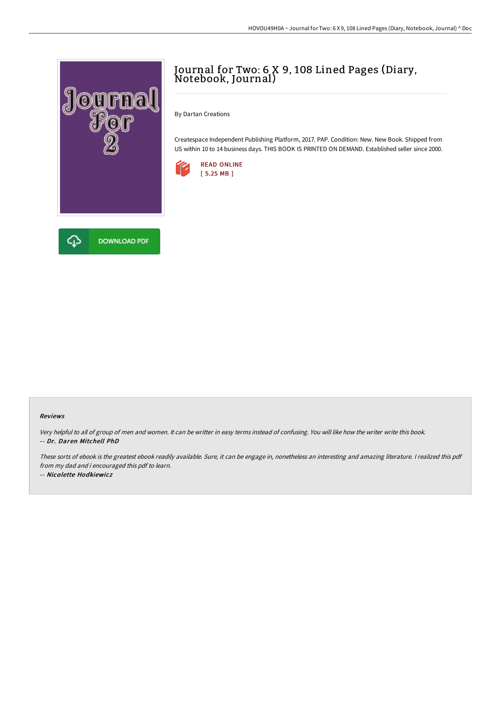

# Journal for Two: <sup>6</sup> <sup>X</sup> 9, <sup>108</sup> Lined Pages (Diary, Notebook, Journal)

By Dartan Creations

Createspace Independent Publishing Platform, 2017. PAP. Condition: New. New Book. Shipped from US within 10 to 14 business days. THIS BOOK IS PRINTED ON DEMAND. Established seller since 2000.



#### Reviews

Very helpful to all of group of men and women. It can be writter in easy terms instead of confusing. You will like how the writer write this book. -- Dr. Daren Mitchell PhD

These sorts of ebook is the greatest ebook readily available. Sure, it can be engage in, nonetheless an interesting and amazing literature. <sup>I</sup> realized this pdf from my dad and i encouraged this pdf to learn.

-- Nicolette Hodkiewicz